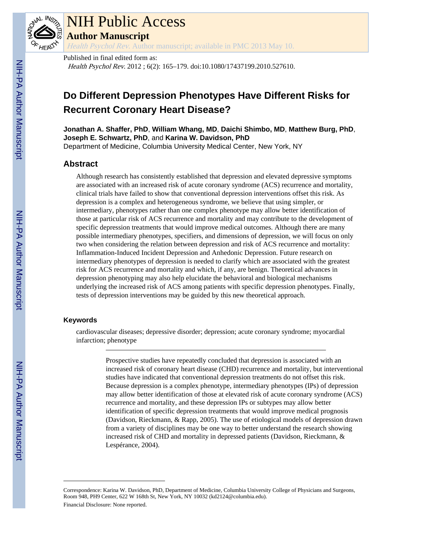

# NIH Public Access

**Author Manuscript**

Health Psychol Rev. Author manuscript; available in PMC 2013 May 10.

Published in final edited form as: Health Psychol Rev. 2012 ; 6(2): 165–179. doi:10.1080/17437199.2010.527610.

# **Do Different Depression Phenotypes Have Different Risks for Recurrent Coronary Heart Disease?**

**Jonathan A. Shaffer, PhD**, **William Whang, MD**, **Daichi Shimbo, MD**, **Matthew Burg, PhD**, **Joseph E. Schwartz, PhD**, and **Karina W. Davidson, PhD** Department of Medicine, Columbia University Medical Center, New York, NY

# **Abstract**

Although research has consistently established that depression and elevated depressive symptoms are associated with an increased risk of acute coronary syndrome (ACS) recurrence and mortality, clinical trials have failed to show that conventional depression interventions offset this risk. As depression is a complex and heterogeneous syndrome, we believe that using simpler, or intermediary, phenotypes rather than one complex phenotype may allow better identification of those at particular risk of ACS recurrence and mortality and may contribute to the development of specific depression treatments that would improve medical outcomes. Although there are many possible intermediary phenotypes, specifiers, and dimensions of depression, we will focus on only two when considering the relation between depression and risk of ACS recurrence and mortality: Inflammation-Induced Incident Depression and Anhedonic Depression. Future research on intermediary phenotypes of depression is needed to clarify which are associated with the greatest risk for ACS recurrence and mortality and which, if any, are benign. Theoretical advances in depression phenotyping may also help elucidate the behavioral and biological mechanisms underlying the increased risk of ACS among patients with specific depression phenotypes. Finally, tests of depression interventions may be guided by this new theoretical approach.

## **Keywords**

cardiovascular diseases; depressive disorder; depression; acute coronary syndrome; myocardial infarction; phenotype

> Prospective studies have repeatedly concluded that depression is associated with an increased risk of coronary heart disease (CHD) recurrence and mortality, but interventional studies have indicated that conventional depression treatments do not offset this risk. Because depression is a complex phenotype, intermediary phenotypes (IPs) of depression may allow better identification of those at elevated risk of acute coronary syndrome (ACS) recurrence and mortality, and these depression IPs or subtypes may allow better identification of specific depression treatments that would improve medical prognosis (Davidson, Rieckmann, & Rapp, 2005). The use of etiological models of depression drawn from a variety of disciplines may be one way to better understand the research showing increased risk of CHD and mortality in depressed patients (Davidson, Rieckmann, & Lespérance, 2004).

Correspondence: Karina W. Davidson, PhD, Department of Medicine, Columbia University College of Physicians and Surgeons, Room 948, PH9 Center, 622 W 168th St, New York, NY 10032 (kd2124@columbia.edu). Financial Disclosure: None reported.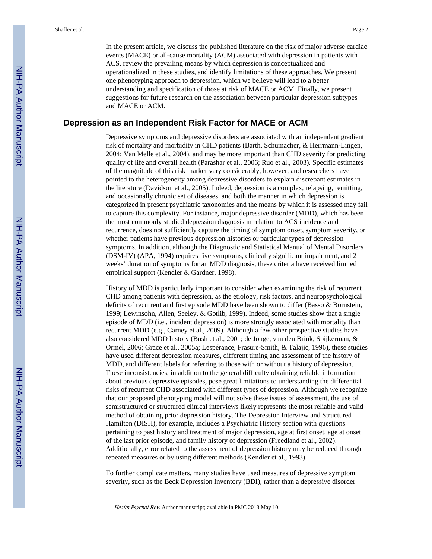In the present article, we discuss the published literature on the risk of major adverse cardiac events (MACE) or all-cause mortality (ACM) associated with depression in patients with ACS, review the prevailing means by which depression is conceptualized and operationalized in these studies, and identify limitations of these approaches. We present one phenotyping approach to depression, which we believe will lead to a better understanding and specification of those at risk of MACE or ACM. Finally, we present suggestions for future research on the association between particular depression subtypes and MACE or ACM.

# **Depression as an Independent Risk Factor for MACE or ACM**

Depressive symptoms and depressive disorders are associated with an independent gradient risk of mortality and morbidity in CHD patients (Barth, Schumacher, & Herrmann-Lingen, 2004; Van Melle et al., 2004), and may be more important than CHD severity for predicting quality of life and overall health (Parashar et al., 2006; Ruo et al., 2003). Specific estimates of the magnitude of this risk marker vary considerably, however, and researchers have pointed to the heterogeneity among depressive disorders to explain discrepant estimates in the literature (Davidson et al., 2005). Indeed, depression is a complex, relapsing, remitting, and occasionally chronic set of diseases, and both the manner in which depression is categorized in present psychiatric taxonomies and the means by which it is assessed may fail to capture this complexity. For instance, major depressive disorder (MDD), which has been the most commonly studied depression diagnosis in relation to ACS incidence and recurrence, does not sufficiently capture the timing of symptom onset, symptom severity, or whether patients have previous depression histories or particular types of depression symptoms. In addition, although the Diagnostic and Statistical Manual of Mental Disorders (DSM-IV) (APA, 1994) requires five symptoms, clinically significant impairment, and 2 weeks' duration of symptoms for an MDD diagnosis, these criteria have received limited empirical support (Kendler & Gardner, 1998).

History of MDD is particularly important to consider when examining the risk of recurrent CHD among patients with depression, as the etiology, risk factors, and neuropsychological deficits of recurrent and first episode MDD have been shown to differ (Basso & Bornstein, 1999; Lewinsohn, Allen, Seeley, & Gotlib, 1999). Indeed, some studies show that a single episode of MDD (i.e., incident depression) is more strongly associated with mortality than recurrent MDD (e.g., Carney et al., 2009). Although a few other prospective studies have also considered MDD history (Bush et al., 2001; de Jonge, van den Brink, Spijkerman, & Ormel, 2006; Grace et al., 2005a; Lespérance, Frasure-Smith, & Talajic, 1996), these studies have used different depression measures, different timing and assessment of the history of MDD, and different labels for referring to those with or without a history of depression. These inconsistencies, in addition to the general difficulty obtaining reliable information about previous depressive episodes, pose great limitations to understanding the differential risks of recurrent CHD associated with different types of depression. Although we recognize that our proposed phenotyping model will not solve these issues of assessment, the use of semistructured or structured clinical interviews likely represents the most reliable and valid method of obtaining prior depression history. The Depression Interview and Structured Hamilton (DISH), for example, includes a Psychiatric History section with questions pertaining to past history and treatment of major depression, age at first onset, age at onset of the last prior episode, and family history of depression (Freedland et al., 2002). Additionally, error related to the assessment of depression history may be reduced through repeated measures or by using different methods (Kendler et al., 1993).

To further complicate matters, many studies have used measures of depressive symptom severity, such as the Beck Depression Inventory (BDI), rather than a depressive disorder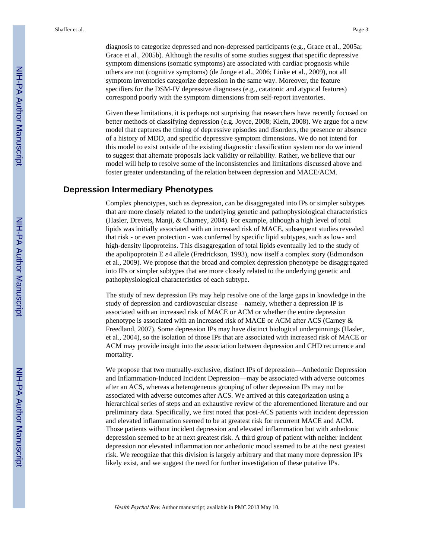diagnosis to categorize depressed and non-depressed participants (e.g., Grace et al., 2005a; Grace et al., 2005b). Although the results of some studies suggest that specific depressive symptom dimensions (somatic symptoms) are associated with cardiac prognosis while others are not (cognitive symptoms) (de Jonge et al., 2006; Linke et al., 2009), not all symptom inventories categorize depression in the same way. Moreover, the feature specifiers for the DSM-IV depressive diagnoses (e.g., catatonic and atypical features) correspond poorly with the symptom dimensions from self-report inventories.

Given these limitations, it is perhaps not surprising that researchers have recently focused on better methods of classifying depression (e.g. Joyce, 2008; Klein, 2008). We argue for a new model that captures the timing of depressive episodes and disorders, the presence or absence of a history of MDD, and specific depressive symptom dimensions. We do not intend for this model to exist outside of the existing diagnostic classification system nor do we intend to suggest that alternate proposals lack validity or reliability. Rather, we believe that our model will help to resolve some of the inconsistencies and limitations discussed above and foster greater understanding of the relation between depression and MACE/ACM.

# **Depression Intermediary Phenotypes**

Complex phenotypes, such as depression, can be disaggregated into IPs or simpler subtypes that are more closely related to the underlying genetic and pathophysiological characteristics (Hasler, Drevets, Manji, & Charney, 2004). For example, although a high level of total lipids was initially associated with an increased risk of MACE, subsequent studies revealed that risk - or even protection - was conferred by specific lipid subtypes, such as low- and high-density lipoproteins. This disaggregation of total lipids eventually led to the study of the apolipoprotein E ε4 allele (Fredrickson, 1993), now itself a complex story (Edmondson et al., 2009). We propose that the broad and complex depression phenotype be disaggregated into IPs or simpler subtypes that are more closely related to the underlying genetic and pathophysiological characteristics of each subtype.

The study of new depression IPs may help resolve one of the large gaps in knowledge in the study of depression and cardiovascular disease—namely, whether a depression IP is associated with an increased risk of MACE or ACM or whether the entire depression phenotype is associated with an increased risk of MACE or ACM after ACS (Carney & Freedland, 2007). Some depression IPs may have distinct biological underpinnings (Hasler, et al., 2004), so the isolation of those IPs that are associated with increased risk of MACE or ACM may provide insight into the association between depression and CHD recurrence and mortality.

We propose that two mutually-exclusive, distinct IPs of depression—Anhedonic Depression and Inflammation-Induced Incident Depression—may be associated with adverse outcomes after an ACS, whereas a heterogeneous grouping of other depression IPs may not be associated with adverse outcomes after ACS. We arrived at this categorization using a hierarchical series of steps and an exhaustive review of the aforementioned literature and our preliminary data. Specifically, we first noted that post-ACS patients with incident depression and elevated inflammation seemed to be at greatest risk for recurrent MACE and ACM. Those patients without incident depression and elevated inflammation but with anhedonic depression seemed to be at next greatest risk. A third group of patient with neither incident depression nor elevated inflammation nor anhedonic mood seemed to be at the next greatest risk. We recognize that this division is largely arbitrary and that many more depression IPs likely exist, and we suggest the need for further investigation of these putative IPs.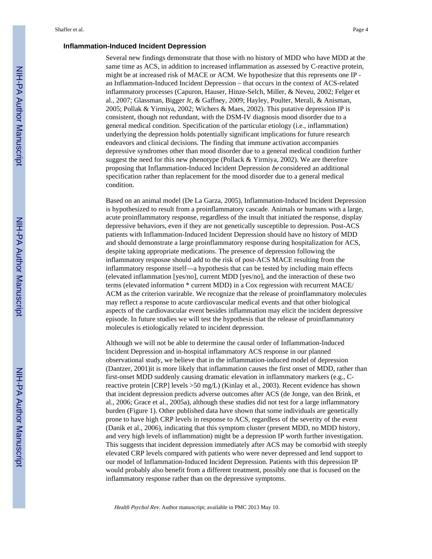#### **Inflammation-Induced Incident Depression**

Several new findings demonstrate that those with no history of MDD who have MDD at the same time as ACS, in addition to increased inflammation as assessed by C-reactive protein, might be at increased risk of MACE or ACM. We hypothesize that this represents one IP an Inflammation-Induced Incident Depression – that occurs in the context of ACS-related inflammatory processes (Capuron, Hauser, Hinze-Selch, Miller, & Neveu, 2002; Felger et al., 2007; Glassman, Bigger Jr, & Gaffney, 2009; Hayley, Poulter, Merali, & Anisman, 2005; Pollak & Yirmiya, 2002; Wichers & Maes, 2002). This putative depression IP is consistent, though not redundant, with the DSM-IV diagnosis mood disorder due to a general medical condition. Specification of the particular etiology (i.e., inflammation) underlying the depression holds potentially significant implications for future research endeavors and clinical decisions. The finding that immune activation accompanies depressive syndromes other than mood disorder due to a general medical condition further suggest the need for this new phenotype (Pollack & Yirmiya, 2002). We are therefore proposing that Inflammation-Induced Incident Depression be considered an additional specification rather than replacement for the mood disorder due to a general medical condition.

Based on an animal model (De La Garza, 2005), Inflammation-Induced Incident Depression is hypothesized to result from a proinflammatory cascade. Animals or humans with a large, acute proinflammatory response, regardless of the insult that initiated the response, display depressive behaviors, even if they are not genetically susceptible to depression. Post-ACS patients with Inflammation-Induced Incident Depression should have no history of MDD and should demonstrate a large proinflammatory response during hospitalization for ACS, despite taking appropriate medications. The presence of depression following the inflammatory resposne should add to the risk of post-ACS MACE resulting from the inflammatory response itself—a hypothesis that can be tested by including main effects (elevated inflammation [yes/no], current MDD [yes/no], and the interaction of these two terms (elevated information \* current MDD) in a Cox regression with recurrent MACE/ ACM as the criterion varirable. We recognize that the release of proinflammatory molecules may reflect a response to acute cardiovascular medical events and that other biological aspects of the cardiovascular event besides inflammation may elicit the incident depressive episode. In future studies we will test the hypothesis that the release of proinflammatory molecules is etiologically related to incident depression.

Although we will not be able to determine the causal order of Inflammation-Induced Incident Depression and in-hospital inflammatory ACS response in our planned observational study, we believe that in the inflammation-induced model of depression (Dantzer, 2001)it is more likely that inflammation causes the first onset of MDD, rather than first-onset MDD suddenly causing dramatic elevation in inflammatory markers (e.g., Creactive protein [CRP] levels >50 mg/L) (Kinlay et al., 2003). Recent evidence has shown that incident depression predicts adverse outcomes after ACS (de Jonge, van den Brink, et al., 2006; Grace et al., 2005a), although these studies did not test for a large inflammatory burden (Figure 1). Other published data have shown that some individuals are genetically prone to have high CRP levels in response to ACS, regardless of the severity of the event (Danik et al., 2006), indicating that this symptom cluster (present MDD, no MDD history, and very high levels of inflammation) might be a depression IP worth further investigation. This suggests that incident depression immediately after ACS may be comorbid with steeply elevated CRP levels compared with patients who were never depressed and lend support to our model of Inflammation-Induced Incident Depression. Patients with this depression IP would probably also benefit from a different treatment, possibly one that is focused on the inflammatory response rather than on the depressive symptoms.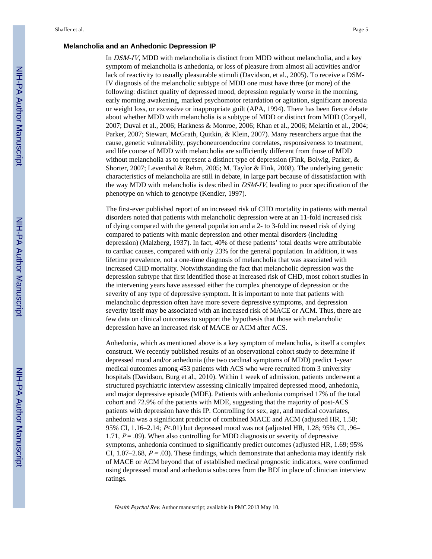#### **Melancholia and an Anhedonic Depression IP**

In DSM-IV, MDD with melancholia is distinct from MDD without melancholia, and a key symptom of melancholia is anhedonia, or loss of pleasure from almost all activities and/or lack of reactivity to usually pleasurable stimuli (Davidson, et al., 2005). To receive a DSM-IV diagnosis of the melancholic subtype of MDD one must have three (or more) of the following: distinct quality of depressed mood, depression regularly worse in the morning, early morning awakening, marked psychomotor retardation or agitation, significant anorexia or weight loss, or excessive or inappropriate guilt (APA, 1994). There has been fierce debate about whether MDD with melancholia is a subtype of MDD or distinct from MDD (Coryell, 2007; Duval et al., 2006; Harkness & Monroe, 2006; Khan et al., 2006; Melartin et al., 2004; Parker, 2007; Stewart, McGrath, Quitkin, & Klein, 2007). Many researchers argue that the cause, genetic vulnerability, psychoneuroendocrine correlates, responsiveness to treatment, and life course of MDD with melancholia are sufficiently different from those of MDD without melancholia as to represent a distinct type of depression (Fink, Bolwig, Parker, & Shorter, 2007; Leventhal & Rehm, 2005; M. Taylor & Fink, 2008). The underlying genetic characteristics of melancholia are still in debate, in large part because of dissatisfaction with the way MDD with melancholia is described in DSM-IV, leading to poor specification of the phenotype on which to genotype (Kendler, 1997).

The first-ever published report of an increased risk of CHD mortality in patients with mental disorders noted that patients with melancholic depression were at an 11-fold increased risk of dying compared with the general population and a 2- to 3-fold increased risk of dying compared to patients with manic depression and other mental disorders (including depression) (Malzberg, 1937). In fact, 40% of these patients' total deaths were attributable to cardiac causes, compared with only 23% for the general population. In addition, it was lifetime prevalence, not a one-time diagnosis of melancholia that was associated with increased CHD mortality. Notwithstanding the fact that melancholic depression was the depression subtype that first identified those at increased risk of CHD, most cohort studies in the intervening years have assessed either the complex phenotype of depression or the severity of any type of depressive symptom. It is important to note that patients with melancholic depression often have more severe depressive symptoms, and depression severity itself may be associated with an increased risk of MACE or ACM. Thus, there are few data on clinical outcomes to support the hypothesis that those with melancholic depression have an increased risk of MACE or ACM after ACS.

Anhedonia, which as mentioned above is a key symptom of melancholia, is itself a complex construct. We recently published results of an observational cohort study to determine if depressed mood and/or anhedonia (the two cardinal symptoms of MDD) predict 1-year medical outcomes among 453 patients with ACS who were recruited from 3 university hospitals (Davidson, Burg et al., 2010). Within 1 week of admission, patients underwent a structured psychiatric interview assessing clinically impaired depressed mood, anhedonia, and major depressive episode (MDE). Patients with anhedonia comprised 17% of the total cohort and 72.9% of the patients with MDE, suggesting that the majority of post-ACS patients with depression have this IP. Controlling for sex, age, and medical covariates, anhedonia was a significant predictor of combined MACE and ACM (adjusted HR, 1.58; 95% CI, 1.16–2.14; P<.01) but depressed mood was not (adjusted HR, 1.28; 95% CI, .96– 1.71,  $P = .09$ ). When also controlling for MDD diagnosis or severity of depressive symptoms, anhedonia continued to significantly predict outcomes (adjusted HR, 1.69; 95% CI, 1.07–2.68,  $P = .03$ ). These findings, which demonstrate that anhedonia may identify risk of MACE or ACM beyond that of established medical prognostic indicators, were confirmed using depressed mood and anhedonia subscores from the BDI in place of clinician interview ratings.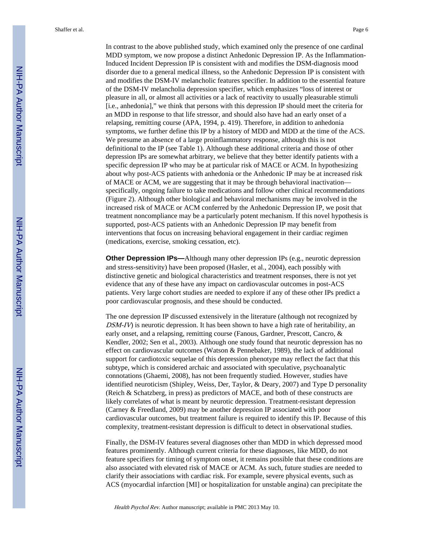In contrast to the above published study, which examined only the presence of one cardinal MDD symptom, we now propose a distinct Anhedonic Depression IP. As the Inflammation-Induced Incident Depression IP is consistent with and modifies the DSM-diagnosis mood disorder due to a general medical illness, so the Anhedonic Depression IP is consistent with and modifies the DSM-IV melancholic features specifier. In addition to the essential feature of the DSM-IV melancholia depression specifier, which emphasizes "loss of interest or pleasure in all, or almost all activities or a lack of reactivity to usually pleasurable stimuli [i.e., anhedonia]," we think that persons with this depression IP should meet the criteria for an MDD in response to that life stressor, and should also have had an early onset of a relapsing, remitting course (APA, 1994, p. 419). Therefore, in addition to anhedonia symptoms, we further define this IP by a history of MDD and MDD at the time of the ACS. We presume an absence of a large proinflammatory response, although this is not definitional to the IP (see Table 1). Although these additional criteria and those of other depression IPs are somewhat arbitrary, we believe that they better identify patients with a specific depression IP who may be at particular risk of MACE or ACM. In hypothesizing about why post-ACS patients with anhedonia or the Anhedonic IP may be at increased risk of MACE or ACM, we are suggesting that it may be through behavioral inactivation specifically, ongoing failure to take medications and follow other clinical recommendations (Figure 2). Although other biological and behavioral mechanisms may be involved in the increased risk of MACE or ACM conferred by the Anhedonic Depression IP, we posit that treatment noncompliance may be a particularly potent mechanism. If this novel hypothesis is supported, post-ACS patients with an Anhedonic Depression IP may benefit from interventions that focus on increasing behavioral engagement in their cardiac regimen (medications, exercise, smoking cessation, etc).

**Other Depression IPs—Although many other depression IPs (e.g., neurotic depression** and stress-sensitivity) have been proposed (Hasler, et al., 2004), each possibly with distinctive genetic and biological characteristics and treatment responses, there is not yet evidence that any of these have any impact on cardiovascular outcomes in post-ACS patients. Very large cohort studies are needed to explore if any of these other IPs predict a poor cardiovascular prognosis, and these should be conducted.

The one depression IP discussed extensively in the literature (although not recognized by  $DSM-IV$ ) is neurotic depression. It has been shown to have a high rate of heritability, an early onset, and a relapsing, remitting course (Fanous, Gardner, Prescott, Cancro, & Kendler, 2002; Sen et al., 2003). Although one study found that neurotic depression has no effect on cardiovascular outcomes (Watson & Pennebaker, 1989), the lack of additional support for cardiotoxic sequelae of this depression phenotype may reflect the fact that this subtype, which is considered archaic and associated with speculative, psychoanalytic connotations (Ghaemi, 2008), has not been frequently studied. However, studies have identified neuroticism (Shipley, Weiss, Der, Taylor, & Deary, 2007) and Type D personality (Reich & Schatzberg, in press) as predictors of MACE, and both of these constructs are likely correlates of what is meant by neurotic depression. Treatment-resistant depression (Carney & Freedland, 2009) may be another depression IP associated with poor cardiovascular outcomes, but treatment failure is required to identify this IP. Because of this complexity, treatment-resistant depression is difficult to detect in observational studies.

Finally, the DSM-IV features several diagnoses other than MDD in which depressed mood features prominently. Although current criteria for these diagnoses, like MDD, do not feature specifiers for timing of symptom onset, it remains possible that these conditions are also associated with elevated risk of MACE or ACM. As such, future studies are needed to clarify their associations with cardiac risk. For example, severe physical events, such as ACS (myocardial infarction [MI] or hospitalization for unstable angina) can precipitate the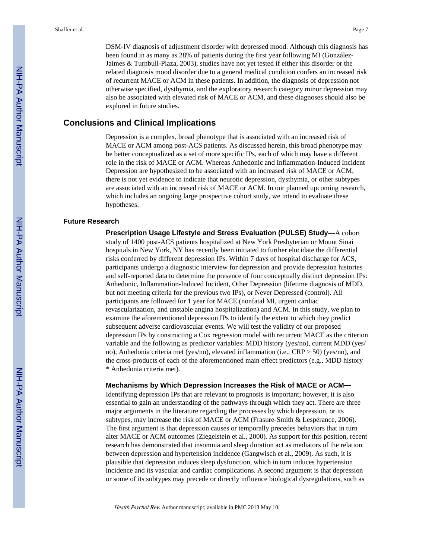DSM-IV diagnosis of adjustment disorder with depressed mood. Although this diagnosis has been found in as many as 28% of patients during the first year following MI (González-Jaimes & Turnbull-Plaza, 2003), studies have not yet tested if either this disorder or the related diagnosis mood disorder due to a general medical condition confers an increased risk of recurrent MACE or ACM in these patients. In addition, the diagnosis of depression not otherwise specified, dysthymia, and the exploratory research category minor depression may also be associated with elevated risk of MACE or ACM, and these diagnoses should also be explored in future studies.

# **Conclusions and Clinical Implications**

Depression is a complex, broad phenotype that is associated with an increased risk of MACE or ACM among post-ACS patients. As discussed herein, this broad phenotype may be better conceptualized as a set of more specific IPs, each of which may have a different role in the risk of MACE or ACM. Whereas Anhedonic and Inflammation-Induced Incident Depression are hypothesized to be associated with an increased risk of MACE or ACM, there is not yet evidence to indicate that neurotic depression, dysthymia, or other subtypes are associated with an increased risk of MACE or ACM. In our planned upcoming research, which includes an ongoing large prospective cohort study, we intend to evaluate these hypotheses.

#### **Future Research**

**Prescription Usage Lifestyle and Stress Evaluation (PULSE) Study—**A cohort study of 1400 post-ACS patients hospitalized at New York Presbyterian or Mount Sinai hospitals in New York, NY has recently been initiated to further elucidate the differential risks conferred by different depression IPs. Within 7 days of hospital discharge for ACS, participants undergo a diagnostic interview for depression and provide depression histories and self-reported data to determine the presence of four conceptually distinct depression IPs: Anhedonic, Inflammation-Induced Incident, Other Depression (lifetime diagnosis of MDD, but not meeting criteria for the previous two IPs), or Never Depressed (control). All participants are followed for 1 year for MACE (nonfatal MI, urgent cardiac revascularization, and unstable angina hospitalization) and ACM. In this study, we plan to examine the aforementioned depression IPs to identify the extent to which they predict subsequent adverse cardiovascular events. We will test the validity of our proposed depression IPs by constructing a Cox regression model with recurrent MACE as the criterion variable and the following as predictor variables: MDD history (yes/no), current MDD (yes/ no), Anhedonia criteria met (yes/no), elevated inflammation (i.e., CRP > 50) (yes/no), and the cross-products of each of the aforementioned main effect predictors (e.g., MDD history \* Anhedonia criteria met).

#### **Mechanisms by Which Depression Increases the Risk of MACE or ACM—**

Identifying depression IPs that are relevant to prognosis is important; however, it is also essential to gain an understanding of the pathways through which they act. There are three major arguments in the literature regarding the processes by which depression, or its subtypes, may increase the risk of MACE or ACM (Frasure-Smith & Lespérance, 2006). The first argument is that depression causes or temporally precedes behaviors that in turn alter MACE or ACM outcomes (Ziegelstein et al., 2000). As support for this position, recent research has demonstrated that insomnia and sleep duration act as mediators of the relation between depression and hypertension incidence (Gangwisch et al., 2009). As such, it is plausible that depression induces sleep dysfunction, which in turn induces hypertension incidence and its vascular and cardiac complications. A second argument is that depression or some of its subtypes may precede or directly influence biological dysregulations, such as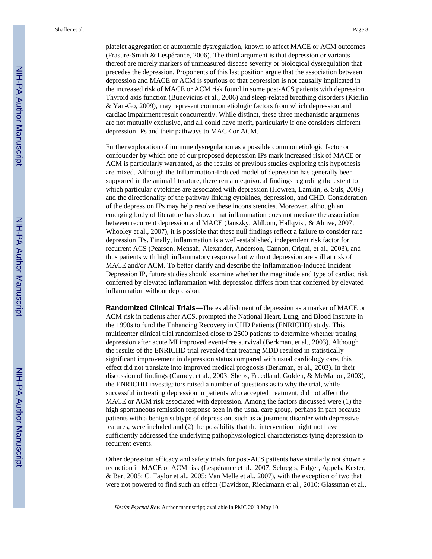platelet aggregation or autonomic dysregulation, known to affect MACE or ACM outcomes (Frasure-Smith & Lespérance, 2006). The third argument is that depression or variants thereof are merely markers of unmeasured disease severity or biological dysregulation that precedes the depression. Proponents of this last position argue that the association between depression and MACE or ACM is spurious or that depression is not causally implicated in the increased risk of MACE or ACM risk found in some post-ACS patients with depression. Thyroid axis function (Bunevicius et al., 2006) and sleep-related breathing disorders (Kierlin & Yan-Go, 2009), may represent common etiologic factors from which depression and cardiac impairment result concurrently. While distinct, these three mechanistic arguments are not mutually exclusive, and all could have merit, particularly if one considers different depression IPs and their pathways to MACE or ACM.

Further exploration of immune dysregulation as a possible common etiologic factor or confounder by which one of our proposed depression IPs mark increased risk of MACE or ACM is particularly warranted, as the results of previous studies exploring this hypothesis are mixed. Although the Inflammation-Induced model of depression has generally been supported in the animal literature, there remain equivocal findings regarding the extent to which particular cytokines are associated with depression (Howren, Lamkin, & Suls, 2009) and the directionality of the pathway linking cytokines, depression, and CHD. Consideration of the depression IPs may help resolve these inconsistencies. Moreover, although an emerging body of literature has shown that inflammation does not mediate the association between recurrent depression and MACE (Janszky, Ahlbom, Hallqvist, & Ahnve, 2007; Whooley et al., 2007), it is possible that these null findings reflect a failure to consider rare depression IPs. Finally, inflammation is a well-established, independent risk factor for recurrent ACS (Pearson, Mensah, Alexander, Anderson, Cannon, Criqui, et al., 2003), and thus patients with high inflammatory response but without depression are still at risk of MACE and/or ACM. To better clarify and describe the Inflammation-Induced Incident Depression IP, future studies should examine whether the magnitude and type of cardiac risk conferred by elevated inflammation with depression differs from that conferred by elevated inflammation without depression.

**Randomized Clinical Trials—**The establishment of depression as a marker of MACE or ACM risk in patients after ACS, prompted the National Heart, Lung, and Blood Institute in the 1990s to fund the Enhancing Recovery in CHD Patients (ENRICHD) study. This multicenter clinical trial randomized close to 2500 patients to determine whether treating depression after acute MI improved event-free survival (Berkman, et al., 2003). Although the results of the ENRICHD trial revealed that treating MDD resulted in statistically significant improvement in depression status compared with usual cardiology care, this effect did not translate into improved medical prognosis (Berkman, et al., 2003). In their discussion of findings (Carney, et al., 2003; Sheps, Freedland, Golden, & McMahon, 2003), the ENRICHD investigators raised a number of questions as to why the trial, while successful in treating depression in patients who accepted treatment, did not affect the MACE or ACM risk associated with depression. Among the factors discussed were (1) the high spontaneous remission response seen in the usual care group, perhaps in part because patients with a benign subtype of depression, such as adjustment disorder with depressive features, were included and (2) the possibility that the intervention might not have sufficiently addressed the underlying pathophysiological characteristics tying depression to recurrent events.

Other depression efficacy and safety trials for post-ACS patients have similarly not shown a reduction in MACE or ACM risk (Lespérance et al., 2007; Sebregts, Falger, Appels, Kester, & Bär, 2005; C. Taylor et al., 2005; Van Melle et al., 2007), with the exception of two that were not powered to find such an effect (Davidson, Rieckmann et al., 2010; Glassman et al.,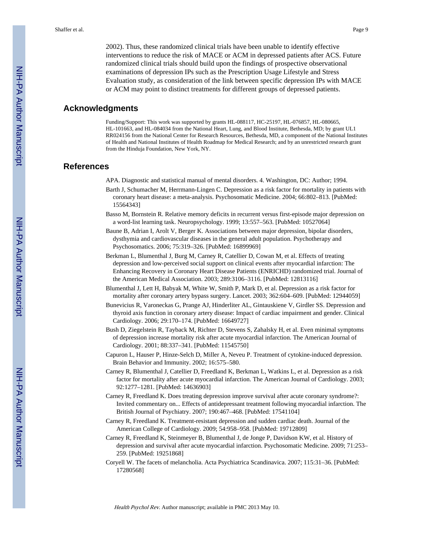2002). Thus, these randomized clinical trials have been unable to identify effective interventions to reduce the risk of MACE or ACM in depressed patients after ACS. Future randomized clinical trials should build upon the findings of prospective observational examinations of depression IPs such as the Prescription Usage Lifestyle and Stress Evaluation study, as consideration of the link between specific depression IPs with MACE or ACM may point to distinct treatments for different groups of depressed patients.

# **Acknowledgments**

Funding/Support: This work was supported by grants HL-088117, HC-25197, HL-076857, HL-080665, HL-101663, and HL-084034 from the National Heart, Lung, and Blood Institute, Bethesda, MD; by grant UL1 RR024156 from the National Center for Research Resources, Bethesda, MD, a component of the National Institutes of Health and National Institutes of Health Roadmap for Medical Research; and by an unrestricted research grant from the Hinduja Foundation, New York, NY.

# **References**

APA. Diagnostic and statistical manual of mental disorders. 4. Washington, DC: Author; 1994.

- Barth J, Schumacher M, Herrmann-Lingen C. Depression as a risk factor for mortality in patients with coronary heart disease: a meta-analysis. Psychosomatic Medicine. 2004; 66:802–813. [PubMed: 15564343]
- Basso M, Bornstein R. Relative memory deficits in recurrent versus first-episode major depression on a word-list learning task. Neuropsychology. 1999; 13:557–563. [PubMed: 10527064]
- Baune B, Adrian I, Arolt V, Berger K. Associations between major depression, bipolar disorders, dysthymia and cardiovascular diseases in the general adult population. Psychotherapy and Psychosomatics. 2006; 75:319–326. [PubMed: 16899969]
- Berkman L, Blumenthal J, Burg M, Carney R, Catellier D, Cowan M, et al. Effects of treating depression and low-perceived social support on clinical events after myocardial infarction: The Enhancing Recovery in Coronary Heart Disease Patients (ENRICHD) randomized trial. Journal of the American Medical Association. 2003; 289:3106–3116. [PubMed: 12813116]
- Blumenthal J, Lett H, Babyak M, White W, Smith P, Mark D, et al. Depression as a risk factor for mortality after coronary artery bypass surgery. Lancet. 2003; 362:604–609. [PubMed: 12944059]
- Bunevicius R, Varoneckas G, Prange AJ, Hinderliter AL, Gintauskiene V, Girdler SS. Depression and thyroid axis function in coronary artery disease: Impact of cardiac impairment and gender. Clinical Cardiology. 2006; 29:170–174. [PubMed: 16649727]
- Bush D, Ziegelstein R, Tayback M, Richter D, Stevens S, Zahalsky H, et al. Even minimal symptoms of depression increase mortality risk after acute myocardial infarction. The American Journal of Cardiology. 2001; 88:337–341. [PubMed: 11545750]
- Capuron L, Hauser P, Hinze-Selch D, Miller A, Neveu P. Treatment of cytokine-induced depression. Brain Behavior and Immunity. 2002; 16:575–580.
- Carney R, Blumenthal J, Catellier D, Freedland K, Berkman L, Watkins L, et al. Depression as a risk factor for mortality after acute myocardial infarction. The American Journal of Cardiology. 2003; 92:1277–1281. [PubMed: 14636903]
- Carney R, Freedland K. Does treating depression improve survival after acute coronary syndrome?: Invited commentary on... Effects of antidepressant treatment following myocardial infarction. The British Journal of Psychiatry. 2007; 190:467–468. [PubMed: 17541104]
- Carney R, Freedland K. Treatment-resistant depression and sudden cardiac death. Journal of the American College of Cardiology. 2009; 54:958–958. [PubMed: 19712809]
- Carney R, Freedland K, Steinmeyer B, Blumenthal J, de Jonge P, Davidson KW, et al. History of depression and survival after acute myocardial infarction. Psychosomatic Medicine. 2009; 71:253– 259. [PubMed: 19251868]
- Coryell W. The facets of melancholia. Acta Psychiatrica Scandinavica. 2007; 115:31–36. [PubMed: 17280568]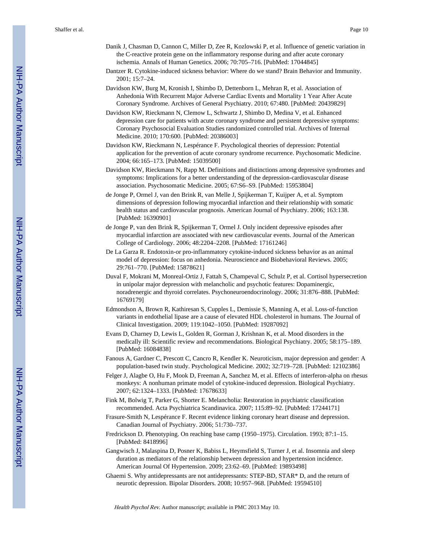- Danik J, Chasman D, Cannon C, Miller D, Zee R, Kozlowski P, et al. Influence of genetic variation in the C-reactive protein gene on the inflammatory response during and after acute coronary ischemia. Annals of Human Genetics. 2006; 70:705–716. [PubMed: 17044845]
- Dantzer R. Cytokine-induced sickness behavior: Where do we stand? Brain Behavior and Immunity. 2001; 15:7–24.
- Davidson KW, Burg M, Kronish I, Shimbo D, Dettenborn L, Mehran R, et al. Association of Anhedonia With Recurrent Major Adverse Cardiac Events and Mortality 1 Year After Acute Coronary Syndrome. Archives of General Psychiatry. 2010; 67:480. [PubMed: 20439829]
- Davidson KW, Rieckmann N, Clemow L, Schwartz J, Shimbo D, Medina V, et al. Enhanced depression care for patients with acute coronary syndrome and persistent depressive symptoms: Coronary Psychosocial Evaluation Studies randomized controlled trial. Archives of Internal Medicine. 2010; 170:600. [PubMed: 20386003]
- Davidson KW, Rieckmann N, Lespérance F. Psychological theories of depression: Potential application for the prevention of acute coronary syndrome recurrence. Psychosomatic Medicine. 2004; 66:165–173. [PubMed: 15039500]
- Davidson KW, Rieckmann N, Rapp M. Definitions and distinctions among depressive syndromes and symptoms: Implications for a better understanding of the depression-cardiovascular disease association. Psychosomatic Medicine. 2005; 67:S6–S9. [PubMed: 15953804]
- de Jonge P, Ormel J, van den Brink R, van Melle J, Spijkerman T, Kuijper A, et al. Symptom dimensions of depression following myocardial infarction and their relationship with somatic health status and cardiovascular prognosis. American Journal of Psychiatry. 2006; 163:138. [PubMed: 16390901]
- de Jonge P, van den Brink R, Spijkerman T, Ormel J. Only incident depressive episodes after myocardial infarction are associated with new cardiovascular events. Journal of the American College of Cardiology. 2006; 48:2204–2208. [PubMed: 17161246]
- De La Garza R. Endotoxin-or pro-inflammatory cytokine-induced sickness behavior as an animal model of depression: focus on anhedonia. Neuroscience and Biobehavioral Reviews. 2005; 29:761–770. [PubMed: 15878621]
- Duval F, Mokrani M, Monreal-Ortiz J, Fattah S, Champeval C, Schulz P, et al. Cortisol hypersecretion in unipolar major depression with melancholic and psychotic features: Dopaminergic, noradrenergic and thyroid correlates. Psychoneuroendocrinology. 2006; 31:876–888. [PubMed: 16769179]
- Edmondson A, Brown R, Kathiresan S, Cupples L, Demissie S, Manning A, et al. Loss-of-function variants in endothelial lipase are a cause of elevated HDL cholesterol in humans. The Journal of Clinical Investigation. 2009; 119:1042–1050. [PubMed: 19287092]
- Evans D, Charney D, Lewis L, Golden R, Gorman J, Krishnan K, et al. Mood disorders in the medically ill: Scientific review and recommendations. Biological Psychiatry. 2005; 58:175–189. [PubMed: 16084838]
- Fanous A, Gardner C, Prescott C, Cancro R, Kendler K. Neuroticism, major depression and gender: A population-based twin study. Psychological Medicine. 2002; 32:719–728. [PubMed: 12102386]
- Felger J, Alagbe O, Hu F, Mook D, Freeman A, Sanchez M, et al. Effects of interferon-alpha on rhesus monkeys: A nonhuman primate model of cytokine-induced depression. Biological Psychiatry. 2007; 62:1324–1333. [PubMed: 17678633]
- Fink M, Bolwig T, Parker G, Shorter E. Melancholia: Restoration in psychiatric classification recommended. Acta Psychiatrica Scandinavica. 2007; 115:89–92. [PubMed: 17244171]
- Frasure-Smith N, Lespérance F. Recent evidence linking coronary heart disease and depression. Canadian Journal of Psychiatry. 2006; 51:730–737.
- Fredrickson D. Phenotyping. On reaching base camp (1950–1975). Circulation. 1993; 87:1–15. [PubMed: 8418996]
- Gangwisch J, Malaspina D, Posner K, Babiss L, Heymsfield S, Turner J, et al. Insomnia and sleep duration as mediators of the relationship between depression and hypertension incidence. American Journal Of Hypertension. 2009; 23:62–69. [PubMed: 19893498]
- Ghaemi S. Why antidepressants are not antidepressants: STEP-BD, STAR\* D, and the return of neurotic depression. Bipolar Disorders. 2008; 10:957–968. [PubMed: 19594510]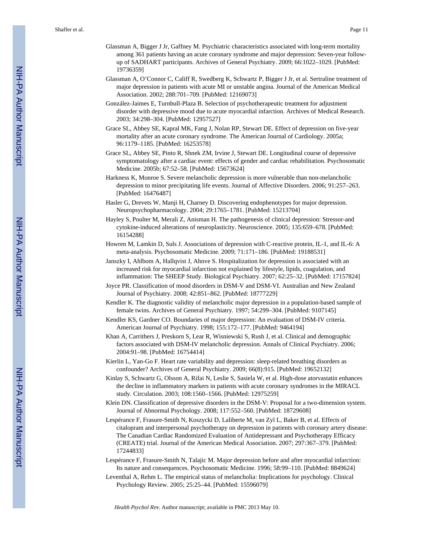- Glassman A, Bigger J Jr, Gaffney M. Psychiatric characteristics associated with long-term mortality among 361 patients having an acute coronary syndrome and major depression: Seven-year followup of SADHART participants. Archives of General Psychiatry. 2009; 66:1022–1029. [PubMed: 19736359]
- Glassman A, O'Connor C, Califf R, Swedberg K, Schwartz P, Bigger J Jr, et al. Sertraline treatment of major depression in patients with acute MI or unstable angina. Journal of the American Medical Association. 2002; 288:701–709. [PubMed: 12169073]
- González-Jaimes E, Turnbull-Plaza B. Selection of psychotherapeutic treatment for adjustment disorder with depressive mood due to acute myocardial infarction. Archives of Medical Research. 2003; 34:298–304. [PubMed: 12957527]
- Grace SL, Abbey SE, Kapral MK, Fang J, Nolan RP, Stewart DE. Effect of depression on five-year mortality after an acute coronary syndrome. The American Journal of Cardiology. 2005a; 96:1179–1185. [PubMed: 16253578]
- Grace SL, Abbey SE, Pinto R, Shnek ZM, Irvine J, Stewart DE. Longitudinal course of depressive symptomatology after a cardiac event: effects of gender and cardiac rehabilitation. Psychosomatic Medicine. 2005b; 67:52–58. [PubMed: 15673624]
- Harkness K, Monroe S. Severe melancholic depression is more vulnerable than non-melancholic depression to minor precipitating life events. Journal of Affective Disorders. 2006; 91:257–263. [PubMed: 16476487]
- Hasler G, Drevets W, Manji H, Charney D. Discovering endophenotypes for major depression. Neuropsychopharmacology. 2004; 29:1765–1781. [PubMed: 15213704]
- Hayley S, Poulter M, Merali Z, Anisman H. The pathogenesis of clinical depression: Stressor-and cytokine-induced alterations of neuroplasticity. Neuroscience. 2005; 135:659–678. [PubMed: 16154288]
- Howren M, Lamkin D, Suls J. Associations of depression with C-reactive protein, IL-1, and IL-6: A meta-analysis. Psychosomatic Medicine. 2009; 71:171–186. [PubMed: 19188531]
- Janszky I, Ahlbom A, Hallqvist J, Ahnve S. Hospitalization for depression is associated with an increased risk for myocardial infarction not explained by lifestyle, lipids, coagulation, and inflammation: The SHEEP Study. Biological Psychiatry. 2007; 62:25–32. [PubMed: 17157824]
- Joyce PR. Classification of mood disorders in DSM-V and DSM-VI. Australian and New Zealand Journal of Psychiatry. 2008; 42:851–862. [PubMed: 18777229]
- Kendler K. The diagnostic validity of melancholic major depression in a population-based sample of female twins. Archives of General Psychiatry. 1997; 54:299–304. [PubMed: 9107145]
- Kendler KS, Gardner CO. Boundaries of major depression: An evaluation of DSM-IV criteria. American Journal of Psychiatry. 1998; 155:172–177. [PubMed: 9464194]
- Khan A, Carrithers J, Preskorn S, Lear R, Wisniewski S, Rush J, et al. Clinical and demographic factors associated with DSM-IV melancholic depression. Annals of Clinical Psychiatry. 2006; 2004:91–98. [PubMed: 16754414]
- Kierlin L, Yan-Go F. Heart rate variability and depression: sleep-related breathing disorders as confounder? Archives of General Psychiatry. 2009; 66(8):915. [PubMed: 19652132]
- Kinlay S, Schwartz G, Olsson A, Rifai N, Leslie S, Sasiela W, et al. High-dose atorvastatin enhances the decline in inflammatory markers in patients with acute coronary syndromes in the MIRACL study. Circulation. 2003; 108:1560–1566. [PubMed: 12975259]
- Klein DN. Classification of depressive disorders in the DSM-V: Proposal for a two-dimension system. Journal of Abnormal Psychology. 2008; 117:552–560. [PubMed: 18729608]
- Lespérance F, Frasure-Smith N, Koszycki D, Laliberte M, van Zyl L, Baker B, et al. Effects of citalopram and interpersonal psychotherapy on depression in patients with coronary artery disease: The Canadian Cardiac Randomized Evaluation of Antidepressant and Psychotherapy Efficacy (CREATE) trial. Journal of the American Medical Association. 2007; 297:367–379. [PubMed: 17244833]
- Lespérance F, Frasure-Smith N, Talajic M. Major depression before and after myocardial infarction: Its nature and consequences. Psychosomatic Medicine. 1996; 58:99–110. [PubMed: 8849624]
- Leventhal A, Rehm L. The empirical status of melancholia: Implications for psychology. Clinical Psychology Review. 2005; 25:25–44. [PubMed: 15596079]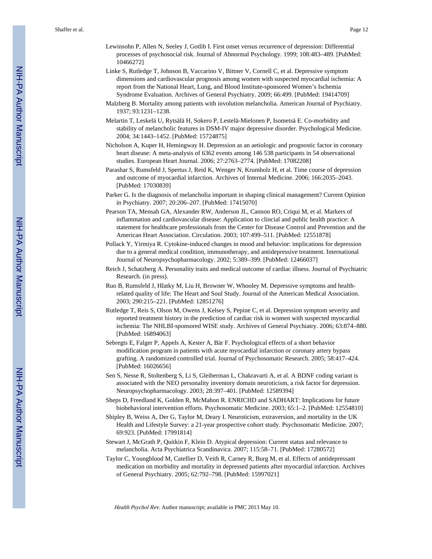- Lewinsohn P, Allen N, Seeley J, Gotlib I. First onset versus recurrence of depression: Differential processes of psychosocial risk. Journal of Abnormal Psychology. 1999; 108:483–489. [PubMed: 10466272]
- Linke S, Rutledge T, Johnson B, Vaccarino V, Bittner V, Cornell C, et al. Depressive symptom dimensions and cardiovascular prognosis among women with suspected myocardial ischemia: A report from the National Heart, Lung, and Blood Institute-sponsored Women's Ischemia Syndrome Evaluation. Archives of General Psychiatry. 2009; 66:499. [PubMed: 19414709]
- Malzberg B. Mortality among patients with involution melancholia. American Journal of Psychiatry. 1937; 93:1231–1238.
- Melartin T, Leskelä U, Rytsälä H, Sokero P, Lestelä-Mielonen P, Isometsä E. Co-morbidity and stability of melancholic features in DSM-IV major depressive disorder. Psychological Medicine. 2004; 34:1443–1452. [PubMed: 15724875]
- Nicholson A, Kuper H, Hemingway H. Depression as an aetiologic and prognostic factor in coronary heart disease: A meta-analysis of 6362 events among 146 538 participants in 54 observational studies. European Heart Journal. 2006; 27:2763–2774. [PubMed: 17082208]
- Parashar S, Rumsfeld J, Spertus J, Reid K, Wenger N, Krumholz H, et al. Time course of depression and outcome of myocardial infarction. Archives of Internal Medicine. 2006; 166:2035–2043. [PubMed: 17030839]
- Parker G. Is the diagnosis of melancholia important in shaping clinical management? Current Opinion in Psychiatry. 2007; 20:206–207. [PubMed: 17415070]
- Pearson TA, Mensah GA, Alexander RW, Anderson JL, Cannon RO, Criqui M, et al. Markers of inflammation and cardiovascular disease: Application to clincial and public health practice: A statement for healthcare professionals from the Center for Disease Control and Prevention and the American Heart Association. Circulation. 2003; 107:499–511. [PubMed: 12551878]
- Pollack Y, Yirmiya R. Cytokine-induced changes in mood and behavior: implications for depression due to a general medical condition, immunotherapy, and antidepressive treatment. International Journal of Neuropsychopharmacology. 2002; 5:389–399. [PubMed: 12466037]
- Reich J, Schatzberg A. Personality traits and medical outcome of cardiac illness. Journal of Psychiatric Research. (in press).
- Ruo B, Rumsfeld J, Hlatky M, Liu H, Browner W, Whooley M. Depressive symptoms and healthrelated quality of life: The Heart and Soul Study. Journal of the American Medical Association. 2003; 290:215–221. [PubMed: 12851276]
- Rutledge T, Reis S, Olson M, Owens J, Kelsey S, Pepine C, et al. Depression symptom severity and reported treatment history in the prediction of cardiac risk in women with suspected myocardial ischemia: The NHLBI-sponsored WISE study. Archives of General Psychiatry. 2006; 63:874–880. [PubMed: 16894063]
- Sebregts E, Falger P, Appels A, Kester A, Bär F. Psychological effects of a short behavior modification program in patients with acute myocardial infarction or coronary artery bypass grafting. A randomized controlled trial. Journal of Psychosomatic Research. 2005; 58:417–424. [PubMed: 16026656]
- Sen S, Nesse R, Stoltenberg S, Li S, Gleiberman L, Chakravarti A, et al. A BDNF coding variant is associated with the NEO personality inventory domain neuroticism, a risk factor for depression. Neuropsychopharmacology. 2003; 28:397–401. [PubMed: 12589394]
- Sheps D, Freedland K, Golden R, McMahon R. ENRICHD and SADHART: Implications for future biobehavioral intervention efforts. Psychosomatic Medicine. 2003; 65:1–2. [PubMed: 12554810]
- Shipley B, Weiss A, Der G, Taylor M, Deary I. Neuroticism, extraversion, and mortality in the UK Health and Lifestyle Survey: a 21-year prospective cohort study. Psychosomatic Medicine. 2007; 69:923. [PubMed: 17991814]
- Stewart J, McGrath P, Quitkin F, Klein D. Atypical depression: Current status and relevance to melancholia. Acta Psychiatrica Scandinavica. 2007; 115:58–71. [PubMed: 17280572]
- Taylor C, Youngblood M, Catellier D, Veith R, Carney R, Burg M, et al. Effects of antidepressant medication on morbidity and mortality in depressed patients after myocardial infarction. Archives of General Psychiatry. 2005; 62:792–798. [PubMed: 15997021]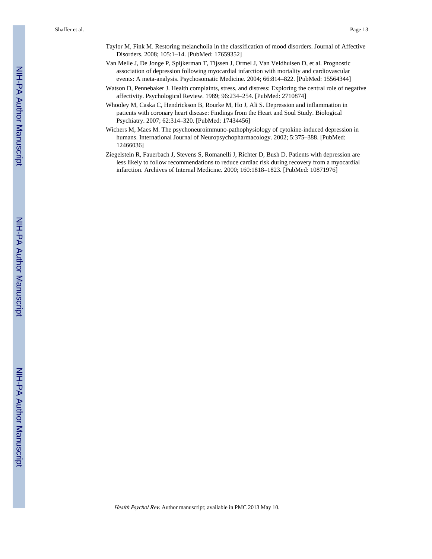- Taylor M, Fink M. Restoring melancholia in the classification of mood disorders. Journal of Affective Disorders. 2008; 105:1–14. [PubMed: 17659352]
- Van Melle J, De Jonge P, Spijkerman T, Tijssen J, Ormel J, Van Veldhuisen D, et al. Prognostic association of depression following myocardial infarction with mortality and cardiovascular events: A meta-analysis. Psychosomatic Medicine. 2004; 66:814–822. [PubMed: 15564344]
- Watson D, Pennebaker J. Health complaints, stress, and distress: Exploring the central role of negative affectivity. Psychological Review. 1989; 96:234–254. [PubMed: 2710874]
- Whooley M, Caska C, Hendrickson B, Rourke M, Ho J, Ali S. Depression and inflammation in patients with coronary heart disease: Findings from the Heart and Soul Study. Biological Psychiatry. 2007; 62:314–320. [PubMed: 17434456]
- Wichers M, Maes M. The psychoneuroimmuno-pathophysiology of cytokine-induced depression in humans. International Journal of Neuropsychopharmacology. 2002; 5:375–388. [PubMed: 12466036]
- Ziegelstein R, Fauerbach J, Stevens S, Romanelli J, Richter D, Bush D. Patients with depression are less likely to follow recommendations to reduce cardiac risk during recovery from a myocardial infarction. Archives of Internal Medicine. 2000; 160:1818–1823. [PubMed: 10871976]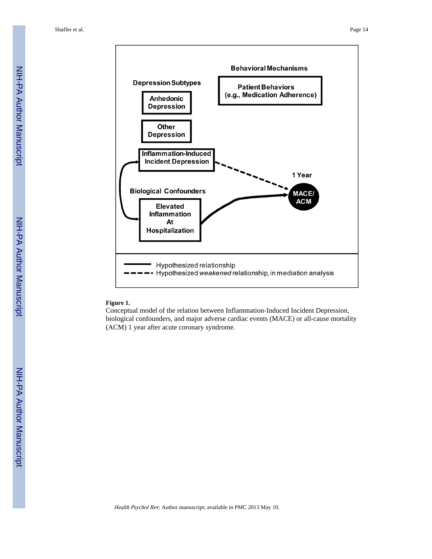

# **Figure 1.**

Conceptual model of the relation between Inflammation-Induced Incident Depression, biological confounders, and major adverse cardiac events (MACE) or all-cause mortality (ACM) 1 year after acute coronary syndrome.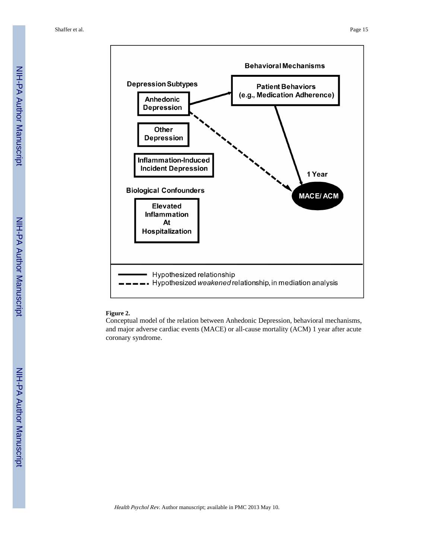

# **Figure 2.**

Conceptual model of the relation between Anhedonic Depression, behavioral mechanisms, and major adverse cardiac events (MACE) or all-cause mortality (ACM) 1 year after acute coronary syndrome.